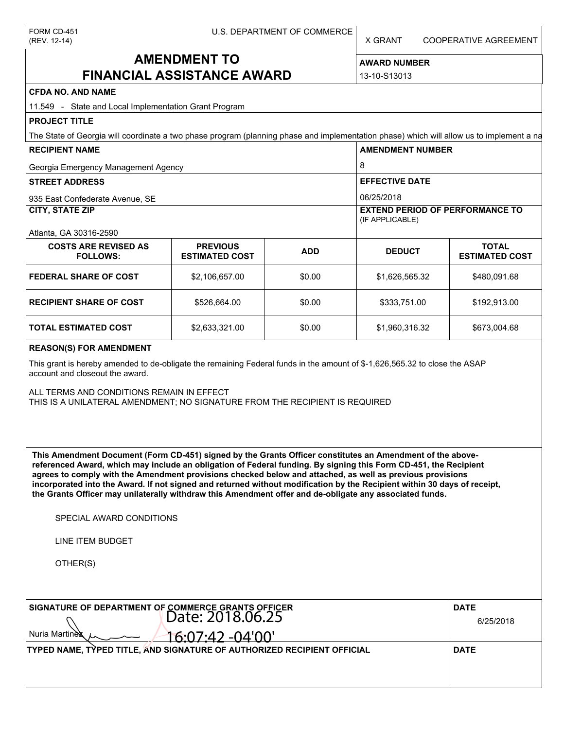X GRANT COOPERATIVE AGREEMENT

# **AMENDMENT TO FINANCIAL ASSISTANCE AWARD**

**AWARD NUMBER** 13-10-S13013

| <b>CFDA NO. AND NAME</b> |  |
|--------------------------|--|
|--------------------------|--|

| 11.549 - State and Local Implementation Grant Program                                                                                                                                                                                                                                                                                                                                                                                                                                                                                                                                                                                                                                                                                                                                                                                                                                                                                      |                                          |            |                                     |                                         |  |                        |
|--------------------------------------------------------------------------------------------------------------------------------------------------------------------------------------------------------------------------------------------------------------------------------------------------------------------------------------------------------------------------------------------------------------------------------------------------------------------------------------------------------------------------------------------------------------------------------------------------------------------------------------------------------------------------------------------------------------------------------------------------------------------------------------------------------------------------------------------------------------------------------------------------------------------------------------------|------------------------------------------|------------|-------------------------------------|-----------------------------------------|--|------------------------|
| <b>PROJECT TITLE</b>                                                                                                                                                                                                                                                                                                                                                                                                                                                                                                                                                                                                                                                                                                                                                                                                                                                                                                                       |                                          |            |                                     |                                         |  |                        |
| The State of Georgia will coordinate a two phase program (planning phase and implementation phase) which will allow us to implement a na                                                                                                                                                                                                                                                                                                                                                                                                                                                                                                                                                                                                                                                                                                                                                                                                   |                                          |            |                                     |                                         |  |                        |
| <b>RECIPIENT NAME</b>                                                                                                                                                                                                                                                                                                                                                                                                                                                                                                                                                                                                                                                                                                                                                                                                                                                                                                                      |                                          |            | <b>AMENDMENT NUMBER</b>             |                                         |  |                        |
| Georgia Emergency Management Agency                                                                                                                                                                                                                                                                                                                                                                                                                                                                                                                                                                                                                                                                                                                                                                                                                                                                                                        |                                          |            | 8                                   |                                         |  |                        |
| <b>STREET ADDRESS</b><br>935 East Confederate Avenue, SE                                                                                                                                                                                                                                                                                                                                                                                                                                                                                                                                                                                                                                                                                                                                                                                                                                                                                   |                                          |            | <b>EFFECTIVE DATE</b><br>06/25/2018 |                                         |  |                        |
|                                                                                                                                                                                                                                                                                                                                                                                                                                                                                                                                                                                                                                                                                                                                                                                                                                                                                                                                            |                                          |            |                                     |                                         |  | <b>CITY, STATE ZIP</b> |
| Atlanta, GA 30316-2590                                                                                                                                                                                                                                                                                                                                                                                                                                                                                                                                                                                                                                                                                                                                                                                                                                                                                                                     |                                          |            |                                     |                                         |  |                        |
| <b>COSTS ARE REVISED AS</b><br><b>FOLLOWS:</b>                                                                                                                                                                                                                                                                                                                                                                                                                                                                                                                                                                                                                                                                                                                                                                                                                                                                                             | <b>PREVIOUS</b><br><b>ESTIMATED COST</b> | <b>ADD</b> | <b>DEDUCT</b>                       | <b>TOTAL</b><br><b>ESTIMATED COST</b>   |  |                        |
| <b>FEDERAL SHARE OF COST</b>                                                                                                                                                                                                                                                                                                                                                                                                                                                                                                                                                                                                                                                                                                                                                                                                                                                                                                               | \$2,106,657.00                           | \$0.00     | \$1,626,565.32                      | \$480,091.68                            |  |                        |
| <b>RECIPIENT SHARE OF COST</b>                                                                                                                                                                                                                                                                                                                                                                                                                                                                                                                                                                                                                                                                                                                                                                                                                                                                                                             | \$526,664.00                             | \$0.00     | \$333,751.00                        | \$192,913.00                            |  |                        |
| <b>TOTAL ESTIMATED COST</b>                                                                                                                                                                                                                                                                                                                                                                                                                                                                                                                                                                                                                                                                                                                                                                                                                                                                                                                | \$2,633,321.00                           | \$0.00     | \$1,960,316.32                      | \$673,004.68                            |  |                        |
| This grant is hereby amended to de-obligate the remaining Federal funds in the amount of \$-1,626,565.32 to close the ASAP<br>account and closeout the award.<br>ALL TERMS AND CONDITIONS REMAIN IN EFFECT<br>THIS IS A UNILATERAL AMENDMENT; NO SIGNATURE FROM THE RECIPIENT IS REQUIRED<br>This Amendment Document (Form CD-451) signed by the Grants Officer constitutes an Amendment of the above-<br>referenced Award, which may include an obligation of Federal funding. By signing this Form CD-451, the Recipient<br>agrees to comply with the Amendment provisions checked below and attached, as well as previous provisions<br>incorporated into the Award. If not signed and returned without modification by the Recipient within 30 days of receipt,<br>the Grants Officer may unilaterally withdraw this Amendment offer and de-obligate any associated funds.<br>SPECIAL AWARD CONDITIONS<br>LINE ITEM BUDGET<br>OTHER(S) |                                          |            |                                     |                                         |  |                        |
| SIGNATURE OF DEPARTMENT OF COMMERCE GRANTS OFFICER<br>Date: 2018.06.25<br>Nuria Martinex<br>TYPED NAME, TYPED TITLE, AND SIGNATURE OF AUTHORIZED RECIPIENT OFFICIAL                                                                                                                                                                                                                                                                                                                                                                                                                                                                                                                                                                                                                                                                                                                                                                        | <u>16:07:42 -04'00'</u>                  |            |                                     | <b>DATE</b><br>6/25/2018<br><b>DATE</b> |  |                        |